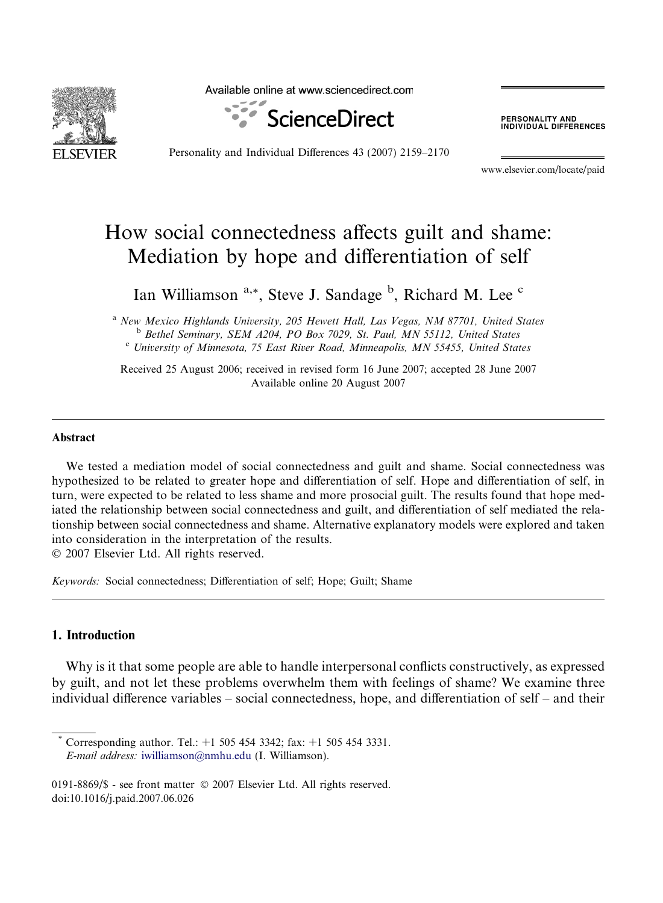

Available online at www.sciencedirect.com



**PERSONALITY AND<br>INDIVIDUAL DIFFERENCES** 

Personality and Individual Differences 43 (2007) 2159–2170

www.elsevier.com/locate/paid

## How social connectedness affects guilt and shame: Mediation by hope and differentiation of self

Ian Williamson <sup>a,\*</sup>, Steve J. Sandage <sup>b</sup>, Richard M. Lee <sup>c</sup>

<sup>a</sup> New Mexico Highlands University, 205 Hewett Hall, Las Vegas, NM 87701, United States<br><sup>b</sup> Bethel Seminary, SEM A204, PO Box 7029, St. Paul, MN 55112, United States<br><sup>c</sup> University of Minnesota, 75 East River Road, Minnea

Received 25 August 2006; received in revised form 16 June 2007; accepted 28 June 2007 Available online 20 August 2007

#### Abstract

We tested a mediation model of social connectedness and guilt and shame. Social connectedness was hypothesized to be related to greater hope and differentiation of self. Hope and differentiation of self, in turn, were expected to be related to less shame and more prosocial guilt. The results found that hope mediated the relationship between social connectedness and guilt, and differentiation of self mediated the relationship between social connectedness and shame. Alternative explanatory models were explored and taken into consideration in the interpretation of the results.

 $© 2007 Elsevier Ltd. All rights reserved.$ 

Keywords: Social connectedness; Differentiation of self; Hope; Guilt; Shame

## 1. Introduction

Why is it that some people are able to handle interpersonal conflicts constructively, as expressed by guilt, and not let these problems overwhelm them with feelings of shame? We examine three individual difference variables – social connectedness, hope, and differentiation of self – and their

Corresponding author. Tel.:  $+1$  505 454 3342; fax:  $+1$  505 454 3331. E-mail address: [iwilliamson@nmhu.edu](mailto:iwilliamson@nmhu.edu) (I. Williamson).

<sup>0191-8869/\$ -</sup> see front matter © 2007 Elsevier Ltd. All rights reserved. doi:10.1016/j.paid.2007.06.026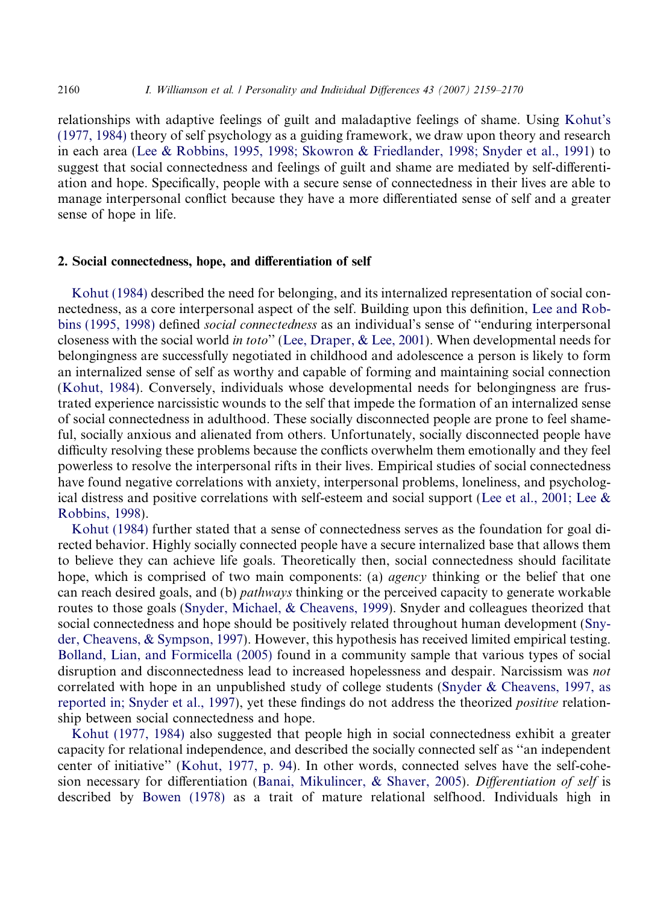relationships with adaptive feelings of guilt and maladaptive feelings of shame. Using [Kohut's](#page--1-0) [\(1977, 1984\)](#page--1-0) theory of self psychology as a guiding framework, we draw upon theory and research in each area [\(Lee & Robbins, 1995, 1998; Skowron & Friedlander, 1998; Snyder et al., 1991\)](#page--1-0) to suggest that social connectedness and feelings of guilt and shame are mediated by self-differentiation and hope. Specifically, people with a secure sense of connectedness in their lives are able to manage interpersonal conflict because they have a more differentiated sense of self and a greater sense of hope in life.

### 2. Social connectedness, hope, and differentiation of self

[Kohut \(1984\)](#page--1-0) described the need for belonging, and its internalized representation of social connectedness, as a core interpersonal aspect of the self. Building upon this definition, [Lee and Rob](#page--1-0)[bins \(1995, 1998\)](#page--1-0) defined social connectedness as an individual's sense of ''enduring interpersonal closeness with the social world in toto'' [\(Lee, Draper, & Lee, 2001](#page--1-0)). When developmental needs for belongingness are successfully negotiated in childhood and adolescence a person is likely to form an internalized sense of self as worthy and capable of forming and maintaining social connection [\(Kohut, 1984](#page--1-0)). Conversely, individuals whose developmental needs for belongingness are frustrated experience narcissistic wounds to the self that impede the formation of an internalized sense of social connectedness in adulthood. These socially disconnected people are prone to feel shameful, socially anxious and alienated from others. Unfortunately, socially disconnected people have difficulty resolving these problems because the conflicts overwhelm them emotionally and they feel powerless to resolve the interpersonal rifts in their lives. Empirical studies of social connectedness have found negative correlations with anxiety, interpersonal problems, loneliness, and psychological distress and positive correlations with self-esteem and social support [\(Lee et al., 2001; Lee &](#page--1-0) [Robbins, 1998\)](#page--1-0).

[Kohut \(1984\)](#page--1-0) further stated that a sense of connectedness serves as the foundation for goal directed behavior. Highly socially connected people have a secure internalized base that allows them to believe they can achieve life goals. Theoretically then, social connectedness should facilitate hope, which is comprised of two main components: (a) *agency* thinking or the belief that one can reach desired goals, and (b) *pathways* thinking or the perceived capacity to generate workable routes to those goals ([Snyder, Michael, & Cheavens, 1999](#page--1-0)). Snyder and colleagues theorized that social connectedness and hope should be positively related throughout human development ([Sny](#page--1-0)[der, Cheavens, & Sympson, 1997\)](#page--1-0). However, this hypothesis has received limited empirical testing. [Bolland, Lian, and Formicella \(2005\)](#page--1-0) found in a community sample that various types of social disruption and disconnectedness lead to increased hopelessness and despair. Narcissism was *not* correlated with hope in an unpublished study of college students [\(Snyder & Cheavens, 1997, as](#page--1-0) [reported in; Snyder et al., 1997](#page--1-0)), yet these findings do not address the theorized positive relationship between social connectedness and hope.

[Kohut \(1977, 1984\)](#page--1-0) also suggested that people high in social connectedness exhibit a greater capacity for relational independence, and described the socially connected self as ''an independent center of initiative'' ([Kohut, 1977, p. 94](#page--1-0)). In other words, connected selves have the self-cohesion necessary for differentiation ([Banai, Mikulincer, & Shaver, 2005](#page--1-0)). Differentiation of self is described by [Bowen \(1978\)](#page--1-0) as a trait of mature relational selfhood. Individuals high in